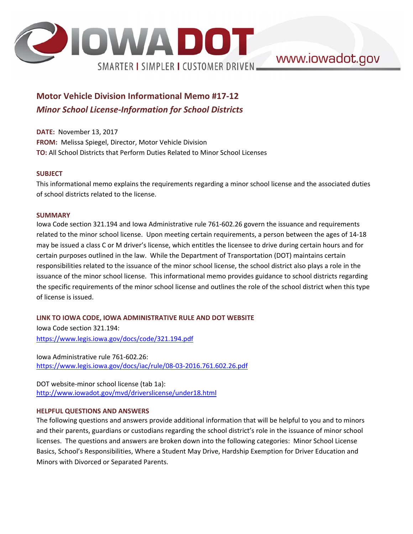

www.iowadot.gov

# **Motor Vehicle Division Informational Memo #17‐12**  *Minor School License‐Information for School Districts*

**DATE:** November 13, 2017 **FROM:** Melissa Spiegel, Director, Motor Vehicle Division **TO:** All School Districts that Perform Duties Related to Minor School Licenses

### **SUBJECT**

This informational memo explains the requirements regarding a minor school license and the associated duties of school districts related to the license.

#### **SUMMARY**

Iowa Code section 321.194 and Iowa Administrative rule 761‐602.26 govern the issuance and requirements related to the minor school license. Upon meeting certain requirements, a person between the ages of 14‐18 may be issued a class C or M driver's license, which entitles the licensee to drive during certain hours and for certain purposes outlined in the law. While the Department of Transportation (DOT) maintains certain responsibilities related to the issuance of the minor school license, the school district also plays a role in the issuance of the minor school license. This informational memo provides guidance to school districts regarding the specific requirements of the minor school license and outlines the role of the school district when this type of license is issued.

**LINK TO IOWA CODE, IOWA ADMINISTRATIVE RULE AND DOT WEBSITE** 

Iowa Code section 321.194: https://www.legis.iowa.gov/docs/code/321.194.pdf

Iowa Administrative rule 761‐602.26: https://www.legis.iowa.gov/docs/iac/rule/08‐03‐2016.761.602.26.pdf

DOT website‐minor school license (tab 1a): http://www.iowadot.gov/mvd/driverslicense/under18.html

### **HELPFUL QUESTIONS AND ANSWERS**

The following questions and answers provide additional information that will be helpful to you and to minors and their parents, guardians or custodians regarding the school district's role in the issuance of minor school licenses. The questions and answers are broken down into the following categories: Minor School License Basics, School's Responsibilities, Where a Student May Drive, Hardship Exemption for Driver Education and Minors with Divorced or Separated Parents.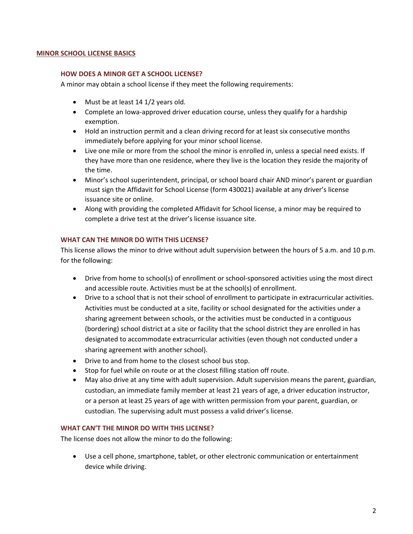### **MINOR SCHOOL LICENSE BASICS**

#### **HOW DOES A MINOR GET A SCHOOL LICENSE?**

A minor may obtain a school license if they meet the following requirements:

- Must be at least 14 1/2 years old.
- Complete an Iowa-approved driver education course, unless they qualify for a hardship exemption.
- Hold an instruction permit and a clean driving record for at least six consecutive months immediately before applying for your minor school license.
- Live one mile or more from the school the minor is enrolled in, unless a special need exists. If they have more than one residence, where they live is the location they reside the majority of the time.
- Minor's school superintendent, principal, or school board chair AND minor's parent or guardian must sign the Affidavit for School License (form 430021) available at any driver's license issuance site or online.
- Along with providing the completed Affidavit for School license, a minor may be required to complete a drive test at the driver's license issuance site.

### **WHAT CAN THE MINOR DO WITH THIS LICENSE?**

This license allows the minor to drive without adult supervision between the hours of 5 a.m. and 10 p.m. for the following:

- Drive from home to school(s) of enrollment or school-sponsored activities using the most direct and accessible route. Activities must be at the school(s) of enrollment.
- Drive to a school that is not their school of enrollment to participate in extracurricular activities. Activities must be conducted at a site, facility or school designated for the activities under a sharing agreement between schools, or the activities must be conducted in a contiguous (bordering) school district at a site or facility that the school district they are enrolled in has designated to accommodate extracurricular activities (even though not conducted under a sharing agreement with another school).
- Drive to and from home to the closest school bus stop.
- Stop for fuel while on route or at the closest filling station off route.
- May also drive at any time with adult supervision. Adult supervision means the parent, guardian, custodian, an immediate family member at least 21 years of age, a driver education instructor, or a person at least 25 years of age with written permission from your parent, guardian, or custodian. The supervising adult must possess a valid driver's license.

#### **WHAT CAN'T THE MINOR DO WITH THIS LICENSE?**

The license does not allow the minor to do the following:

 Use a cell phone, smartphone, tablet, or other electronic communication or entertainment device while driving.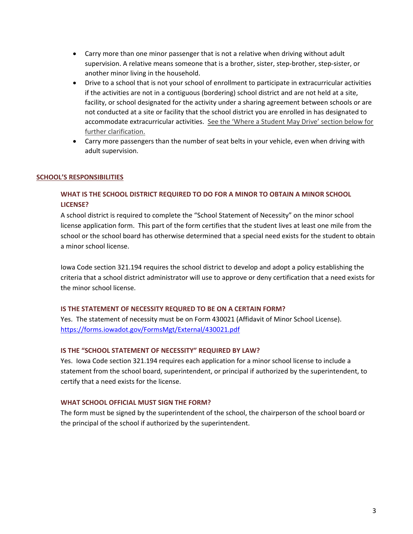- Carry more than one minor passenger that is not a relative when driving without adult supervision. A relative means someone that is a brother, sister, step‐brother, step‐sister, or another minor living in the household.
- Drive to a school that is not your school of enrollment to participate in extracurricular activities if the activities are not in a contiguous (bordering) school district and are not held at a site, facility, or school designated for the activity under a sharing agreement between schools or are not conducted at a site or facility that the school district you are enrolled in has designated to accommodate extracurricular activities. See the 'Where a Student May Drive' section below for further clarification.
- Carry more passengers than the number of seat belts in your vehicle, even when driving with adult supervision.

### **SCHOOL'S RESPONSIBILITIES**

# **WHAT IS THE SCHOOL DISTRICT REQUIRED TO DO FOR A MINOR TO OBTAIN A MINOR SCHOOL LICENSE?**

A school district is required to complete the "School Statement of Necessity" on the minor school license application form. This part of the form certifies that the student lives at least one mile from the school or the school board has otherwise determined that a special need exists for the student to obtain a minor school license.

Iowa Code section 321.194 requires the school district to develop and adopt a policy establishing the criteria that a school district administrator will use to approve or deny certification that a need exists for the minor school license.

#### **IS THE STATEMENT OF NECESSITY REQURED TO BE ON A CERTAIN FORM?**

Yes. The statement of necessity must be on Form 430021 (Affidavit of Minor School License). https://forms.iowadot.gov/FormsMgt/External/430021.pdf

### **IS THE "SCHOOL STATEMENT OF NECESSITY" REQUIRED BY LAW?**

Yes. Iowa Code section 321.194 requires each application for a minor school license to include a statement from the school board, superintendent, or principal if authorized by the superintendent, to certify that a need exists for the license.

#### **WHAT SCHOOL OFFICIAL MUST SIGN THE FORM?**

The form must be signed by the superintendent of the school, the chairperson of the school board or the principal of the school if authorized by the superintendent.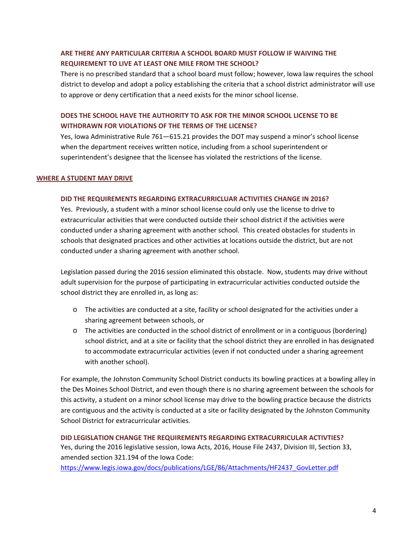# **ARE THERE ANY PARTICULAR CRITERIA A SCHOOL BOARD MUST FOLLOW IF WAIVING THE REQUIREMENT TO LIVE AT LEAST ONE MILE FROM THE SCHOOL?**

There is no prescribed standard that a school board must follow; however, Iowa law requires the school district to develop and adopt a policy establishing the criteria that a school district administrator will use to approve or deny certification that a need exists for the minor school license.

# **DOES THE SCHOOL HAVE THE AUTHORITY TO ASK FOR THE MINOR SCHOOL LICENSE TO BE WITHDRAWN FOR VIOLATIONS OF THE TERMS OF THE LICENSE?**

Yes, Iowa Administrative Rule 761—615.21 provides the DOT may suspend a minor's school license when the department receives written notice, including from a school superintendent or superintendent's designee that the licensee has violated the restrictions of the license.

### **WHERE A STUDENT MAY DRIVE**

### **DID THE REQUIREMENTS REGARDING EXTRACURRICLUAR ACTIVITIES CHANGE IN 2016?**

Yes. Previously, a student with a minor school license could only use the license to drive to extracurricular activities that were conducted outside their school district if the activities were conducted under a sharing agreement with another school. This created obstacles for students in schools that designated practices and other activities at locations outside the district, but are not conducted under a sharing agreement with another school.

Legislation passed during the 2016 session eliminated this obstacle. Now, students may drive without adult supervision for the purpose of participating in extracurricular activities conducted outside the school district they are enrolled in, as long as:

- o The activities are conducted at a site, facility or school designated for the activities under a sharing agreement between schools, or
- o The activities are conducted in the school district of enrollment or in a contiguous (bordering) school district, and at a site or facility that the school district they are enrolled in has designated to accommodate extracurricular activities (even if not conducted under a sharing agreement with another school).

For example, the Johnston Community School District conducts its bowling practices at a bowling alley in the Des Moines School District, and even though there is no sharing agreement between the schools for this activity, a student on a minor school license may drive to the bowling practice because the districts are contiguous and the activity is conducted at a site or facility designated by the Johnston Community School District for extracurricular activities.

#### **DID LEGISLATION CHANGE THE REQUIREMENTS REGARDING EXTRACURRICULAR ACTIVTIES?**

Yes, during the 2016 legislative session, Iowa Acts, 2016, House File 2437, Division III, Section 33, amended section 321.194 of the Iowa Code:

https://www.legis.iowa.gov/docs/publications/LGE/86/Attachments/HF2437\_GovLetter.pdf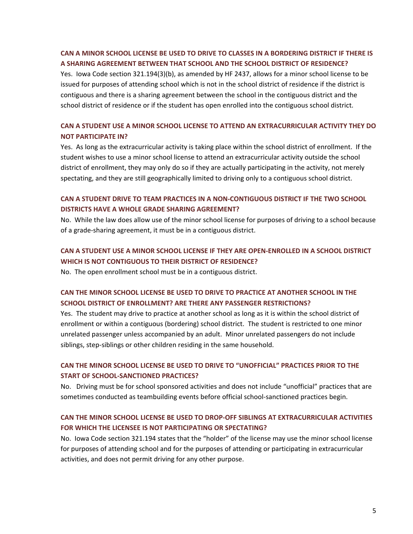### **CAN A MINOR SCHOOL LICENSE BE USED TO DRIVE TO CLASSES IN A BORDERING DISTRICT IF THERE IS A SHARING AGREEMENT BETWEEN THAT SCHOOL AND THE SCHOOL DISTRICT OF RESIDENCE?**

Yes. Iowa Code section 321.194(3)(b), as amended by HF 2437, allows for a minor school license to be issued for purposes of attending school which is not in the school district of residence if the district is contiguous and there is a sharing agreement between the school in the contiguous district and the school district of residence or if the student has open enrolled into the contiguous school district.

# **CAN A STUDENT USE A MINOR SCHOOL LICENSE TO ATTEND AN EXTRACURRICULAR ACTIVITY THEY DO NOT PARTICIPATE IN?**

Yes. As long as the extracurricular activity is taking place within the school district of enrollment. If the student wishes to use a minor school license to attend an extracurricular activity outside the school district of enrollment, they may only do so if they are actually participating in the activity, not merely spectating, and they are still geographically limited to driving only to a contiguous school district.

# **CAN A STUDENT DRIVE TO TEAM PRACTICES IN A NON‐CONTIGUOUS DISTRICT IF THE TWO SCHOOL DISTRICTS HAVE A WHOLE GRADE SHARING AGREEMENT?**

No. While the law does allow use of the minor school license for purposes of driving to a school because of a grade‐sharing agreement, it must be in a contiguous district.

# **CAN A STUDENT USE A MINOR SCHOOL LICENSE IF THEY ARE OPEN‐ENROLLED IN A SCHOOL DISTRICT WHICH IS NOT CONTIGUOUS TO THEIR DISTRICT OF RESIDENCE?**

No. The open enrollment school must be in a contiguous district.

# **CAN THE MINOR SCHOOL LICENSE BE USED TO DRIVE TO PRACTICE AT ANOTHER SCHOOL IN THE SCHOOL DISTRICT OF ENROLLMENT? ARE THERE ANY PASSENGER RESTRICTIONS?**

Yes. The student may drive to practice at another school as long as it is within the school district of enrollment or within a contiguous (bordering) school district. The student is restricted to one minor unrelated passenger unless accompanied by an adult. Minor unrelated passengers do not include siblings, step-siblings or other children residing in the same household.

# **CAN THE MINOR SCHOOL LICENSE BE USED TO DRIVE TO "UNOFFICIAL" PRACTICES PRIOR TO THE START OF SCHOOL‐SANCTIONED PRACTICES?**

No. Driving must be for school sponsored activities and does not include "unofficial" practices that are sometimes conducted as teambuilding events before official school-sanctioned practices begin.

# **CAN THE MINOR SCHOOL LICENSE BE USED TO DROP‐OFF SIBLINGS AT EXTRACURRICULAR ACTIVITIES FOR WHICH THE LICENSEE IS NOT PARTICIPATING OR SPECTATING?**

No. Iowa Code section 321.194 states that the "holder" of the license may use the minor school license for purposes of attending school and for the purposes of attending or participating in extracurricular activities, and does not permit driving for any other purpose.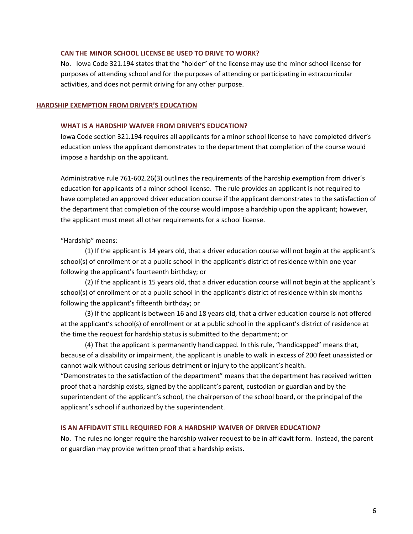#### **CAN THE MINOR SCHOOL LICENSE BE USED TO DRIVE TO WORK?**

No. Iowa Code 321.194 states that the "holder" of the license may use the minor school license for purposes of attending school and for the purposes of attending or participating in extracurricular activities, and does not permit driving for any other purpose.

#### **HARDSHIP EXEMPTION FROM DRIVER'S EDUCATION**

#### **WHAT IS A HARDSHIP WAIVER FROM DRIVER'S EDUCATION?**

Iowa Code section 321.194 requires all applicants for a minor school license to have completed driver's education unless the applicant demonstrates to the department that completion of the course would impose a hardship on the applicant.

Administrative rule 761‐602.26(3) outlines the requirements of the hardship exemption from driver's education for applicants of a minor school license. The rule provides an applicant is not required to have completed an approved driver education course if the applicant demonstrates to the satisfaction of the department that completion of the course would impose a hardship upon the applicant; however, the applicant must meet all other requirements for a school license.

### "Hardship" means:

(1) If the applicant is 14 years old, that a driver education course will not begin at the applicant's school(s) of enrollment or at a public school in the applicant's district of residence within one year following the applicant's fourteenth birthday; or

(2) If the applicant is 15 years old, that a driver education course will not begin at the applicant's school(s) of enrollment or at a public school in the applicant's district of residence within six months following the applicant's fifteenth birthday; or

(3) If the applicant is between 16 and 18 years old, that a driver education course is not offered at the applicant's school(s) of enrollment or at a public school in the applicant's district of residence at the time the request for hardship status is submitted to the department; or

(4) That the applicant is permanently handicapped. In this rule, "handicapped" means that, because of a disability or impairment, the applicant is unable to walk in excess of 200 feet unassisted or cannot walk without causing serious detriment or injury to the applicant's health.

"Demonstrates to the satisfaction of the department" means that the department has received written proof that a hardship exists, signed by the applicant's parent, custodian or guardian and by the superintendent of the applicant's school, the chairperson of the school board, or the principal of the applicant's school if authorized by the superintendent.

### **IS AN AFFIDAVIT STILL REQUIRED FOR A HARDSHIP WAIVER OF DRIVER EDUCATION?**

No. The rules no longer require the hardship waiver request to be in affidavit form. Instead, the parent or guardian may provide written proof that a hardship exists.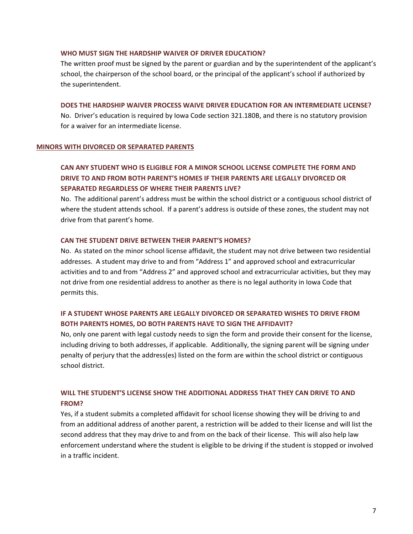### **WHO MUST SIGN THE HARDSHIP WAIVER OF DRIVER EDUCATION?**

The written proof must be signed by the parent or guardian and by the superintendent of the applicant's school, the chairperson of the school board, or the principal of the applicant's school if authorized by the superintendent.

#### **DOES THE HARDSHIP WAIVER PROCESS WAIVE DRIVER EDUCATION FOR AN INTERMEDIATE LICENSE?**

No. Driver's education is required by Iowa Code section 321.180B, and there is no statutory provision for a waiver for an intermediate license.

#### **MINORS WITH DIVORCED OR SEPARATED PARENTS**

# **CAN ANY STUDENT WHO IS ELIGIBLE FOR A MINOR SCHOOL LICENSE COMPLETE THE FORM AND DRIVE TO AND FROM BOTH PARENT'S HOMES IF THEIR PARENTS ARE LEGALLY DIVORCED OR SEPARATED REGARDLESS OF WHERE THEIR PARENTS LIVE?**

No. The additional parent's address must be within the school district or a contiguous school district of where the student attends school. If a parent's address is outside of these zones, the student may not drive from that parent's home.

### **CAN THE STUDENT DRIVE BETWEEN THEIR PARENT'S HOMES?**

No. As stated on the minor school license affidavit, the student may not drive between two residential addresses. A student may drive to and from "Address 1" and approved school and extracurricular activities and to and from "Address 2" and approved school and extracurricular activities, but they may not drive from one residential address to another as there is no legal authority in Iowa Code that permits this.

### **IF A STUDENT WHOSE PARENTS ARE LEGALLY DIVORCED OR SEPARATED WISHES TO DRIVE FROM BOTH PARENTS HOMES, DO BOTH PARENTS HAVE TO SIGN THE AFFIDAVIT?**

No, only one parent with legal custody needs to sign the form and provide their consent for the license, including driving to both addresses, if applicable. Additionally, the signing parent will be signing under penalty of perjury that the address(es) listed on the form are within the school district or contiguous school district.

# **WILL THE STUDENT'S LICENSE SHOW THE ADDITIONAL ADDRESS THAT THEY CAN DRIVE TO AND FROM?**

Yes, if a student submits a completed affidavit for school license showing they will be driving to and from an additional address of another parent, a restriction will be added to their license and will list the second address that they may drive to and from on the back of their license. This will also help law enforcement understand where the student is eligible to be driving if the student is stopped or involved in a traffic incident.